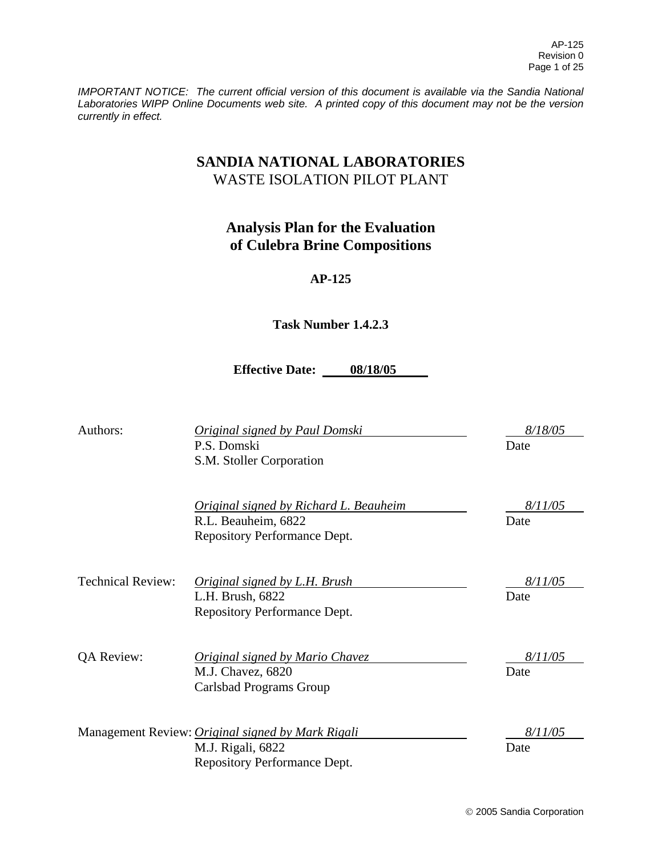*IMPORTANT NOTICE: The current official version of this document is available via the Sandia National Laboratories WIPP Online Documents web site. A printed copy of this document may not be the version currently in effect.*

# **SANDIA NATIONAL LABORATORIES** WASTE ISOLATION PILOT PLANT

# **Analysis Plan for the Evaluation of Culebra Brine Compositions**

# **AP-125**

# **Task Number 1.4.2.3**

**Effective Date: 08/18/05** 

Authors: *Original signed by Paul Domski 8/18/05* 

P.S. Domski Date S.M. Stoller Corporation *Original signed by Richard L. Beauheim 8/11/05*  R.L. Beauheim, 6822 Date Repository Performance Dept. Technical Review: *Original signed by L.H. Brush 8/11/05*  L.H. Brush, 6822 Date Repository Performance Dept. QA Review: *Original signed by Mario Chavez 8/11/05*  M.J. Chavez, 6820 Date Carlsbad Programs Group Management Review: *Original signed by Mark Rigali 8/11/05*  M.J. Rigali, 6822 Date Repository Performance Dept.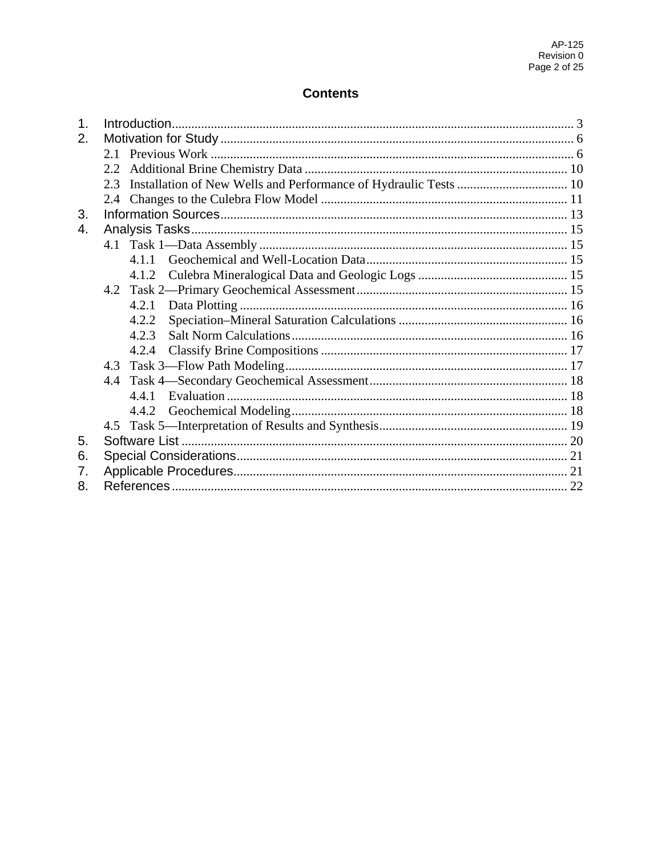# **Contents**

| 1. |               |       |  |  |  |  |  |
|----|---------------|-------|--|--|--|--|--|
| 2. |               |       |  |  |  |  |  |
|    |               |       |  |  |  |  |  |
|    |               |       |  |  |  |  |  |
|    | $2.3^{\circ}$ |       |  |  |  |  |  |
|    |               |       |  |  |  |  |  |
| 3. |               |       |  |  |  |  |  |
| 4. |               |       |  |  |  |  |  |
|    |               |       |  |  |  |  |  |
|    |               | 4.1.1 |  |  |  |  |  |
|    |               | 4.1.2 |  |  |  |  |  |
|    |               |       |  |  |  |  |  |
|    |               | 4.2.1 |  |  |  |  |  |
|    |               | 4.2.2 |  |  |  |  |  |
|    |               | 4.2.3 |  |  |  |  |  |
|    |               | 4.2.4 |  |  |  |  |  |
|    | 4.3           |       |  |  |  |  |  |
|    | 4.4           |       |  |  |  |  |  |
|    |               | 441   |  |  |  |  |  |
|    |               |       |  |  |  |  |  |
|    |               |       |  |  |  |  |  |
| 5. |               |       |  |  |  |  |  |
| 6. |               |       |  |  |  |  |  |
| 7. |               |       |  |  |  |  |  |
| 8. |               |       |  |  |  |  |  |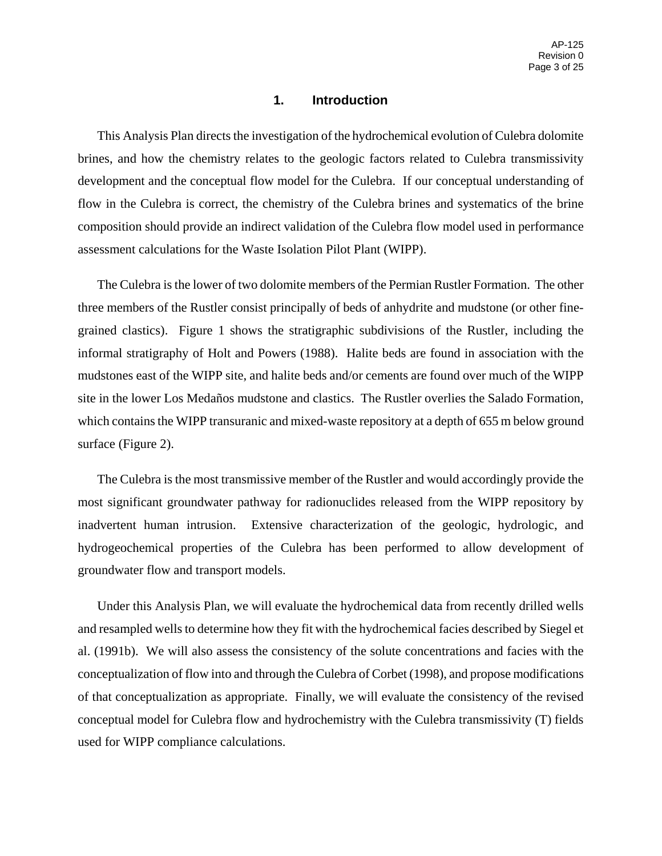### **1. Introduction**

This Analysis Plan directs the investigation of the hydrochemical evolution of Culebra dolomite brines, and how the chemistry relates to the geologic factors related to Culebra transmissivity development and the conceptual flow model for the Culebra. If our conceptual understanding of flow in the Culebra is correct, the chemistry of the Culebra brines and systematics of the brine composition should provide an indirect validation of the Culebra flow model used in performance assessment calculations for the Waste Isolation Pilot Plant (WIPP).

The Culebra is the lower of two dolomite members of the Permian Rustler Formation. The other three members of the Rustler consist principally of beds of anhydrite and mudstone (or other finegrained clastics). Figure 1 shows the stratigraphic subdivisions of the Rustler, including the informal stratigraphy of Holt and Powers (1988). Halite beds are found in association with the mudstones east of the WIPP site, and halite beds and/or cements are found over much of the WIPP site in the lower Los Medaños mudstone and clastics. The Rustler overlies the Salado Formation, which contains the WIPP transuranic and mixed-waste repository at a depth of 655 m below ground surface (Figure 2).

The Culebra is the most transmissive member of the Rustler and would accordingly provide the most significant groundwater pathway for radionuclides released from the WIPP repository by inadvertent human intrusion. Extensive characterization of the geologic, hydrologic, and hydrogeochemical properties of the Culebra has been performed to allow development of groundwater flow and transport models.

Under this Analysis Plan, we will evaluate the hydrochemical data from recently drilled wells and resampled wells to determine how they fit with the hydrochemical facies described by Siegel et al. (1991b). We will also assess the consistency of the solute concentrations and facies with the conceptualization of flow into and through the Culebra of Corbet (1998), and propose modifications of that conceptualization as appropriate. Finally, we will evaluate the consistency of the revised conceptual model for Culebra flow and hydrochemistry with the Culebra transmissivity (T) fields used for WIPP compliance calculations.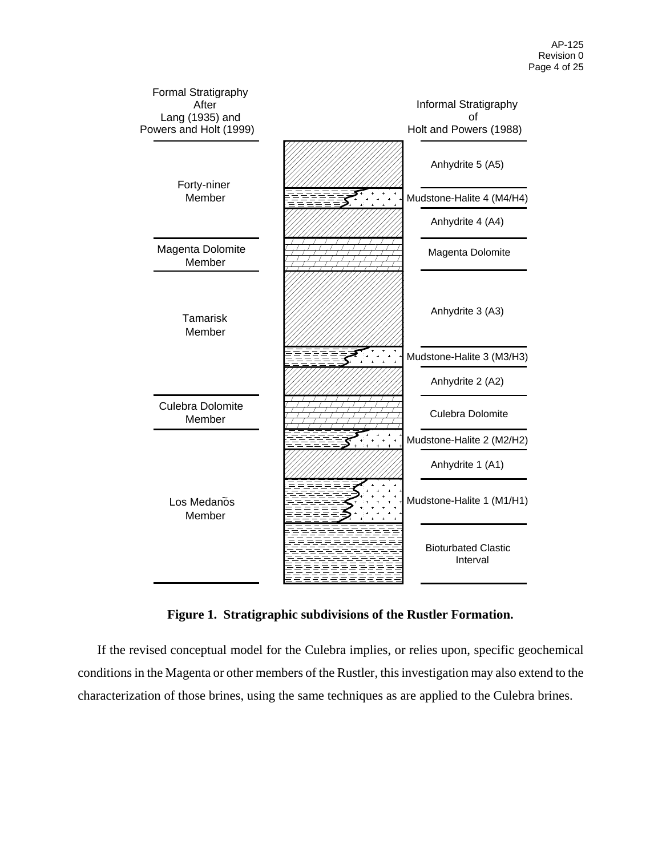

**Figure 1. Stratigraphic subdivisions of the Rustler Formation.** 

If the revised conceptual model for the Culebra implies, or relies upon, specific geochemical conditions in the Magenta or other members of the Rustler, this investigation may also extend to the characterization of those brines, using the same techniques as are applied to the Culebra brines.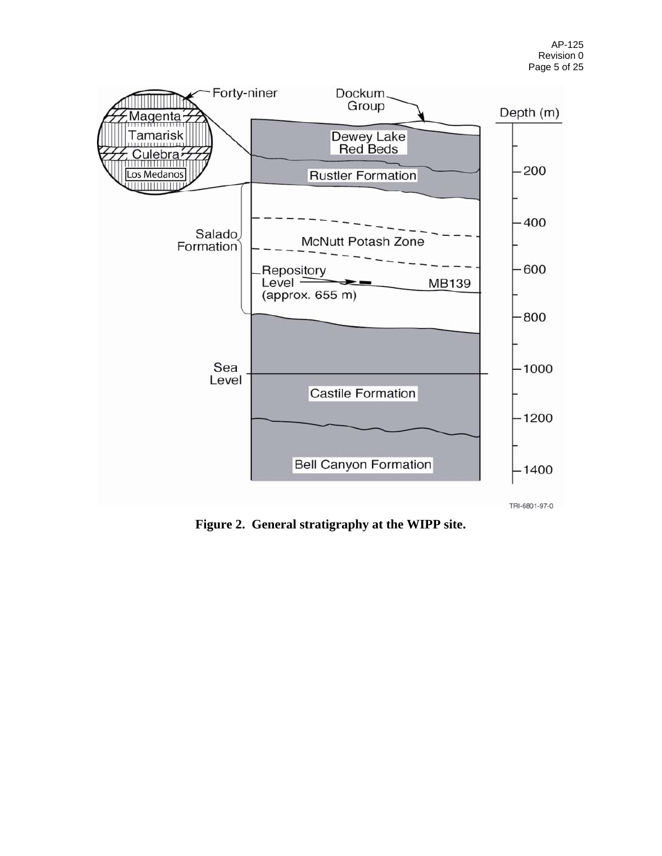

**Figure 2. General stratigraphy at the WIPP site.**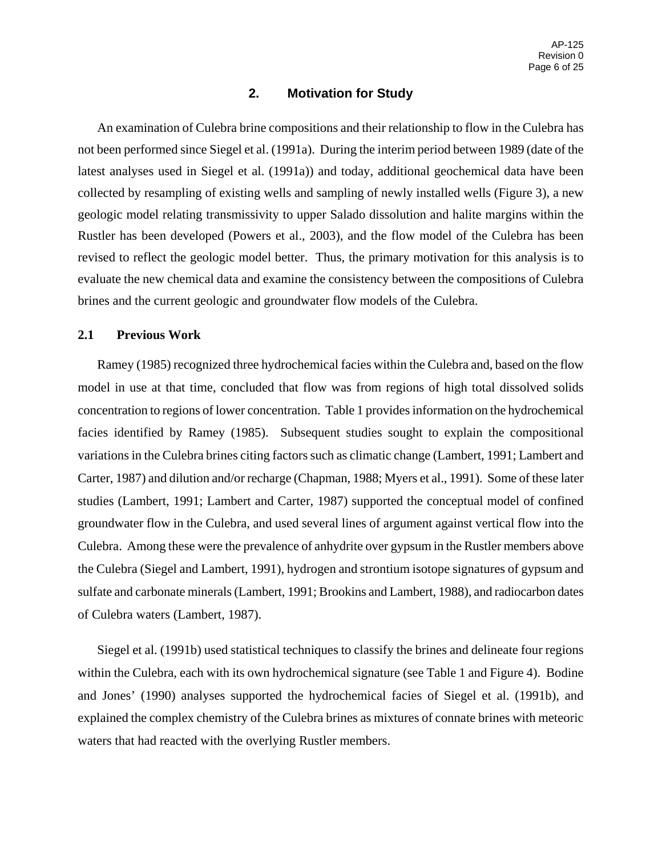### **2. Motivation for Study**

An examination of Culebra brine compositions and their relationship to flow in the Culebra has not been performed since Siegel et al. (1991a). During the interim period between 1989 (date of the latest analyses used in Siegel et al. (1991a)) and today, additional geochemical data have been collected by resampling of existing wells and sampling of newly installed wells (Figure 3), a new geologic model relating transmissivity to upper Salado dissolution and halite margins within the Rustler has been developed (Powers et al., 2003), and the flow model of the Culebra has been revised to reflect the geologic model better. Thus, the primary motivation for this analysis is to evaluate the new chemical data and examine the consistency between the compositions of Culebra brines and the current geologic and groundwater flow models of the Culebra.

#### **2.1 Previous Work**

Ramey (1985) recognized three hydrochemical facies within the Culebra and, based on the flow model in use at that time, concluded that flow was from regions of high total dissolved solids concentration to regions of lower concentration. Table 1 provides information on the hydrochemical facies identified by Ramey (1985). Subsequent studies sought to explain the compositional variations in the Culebra brines citing factors such as climatic change (Lambert, 1991; Lambert and Carter, 1987) and dilution and/or recharge (Chapman, 1988; Myers et al., 1991). Some of these later studies (Lambert, 1991; Lambert and Carter, 1987) supported the conceptual model of confined groundwater flow in the Culebra, and used several lines of argument against vertical flow into the Culebra. Among these were the prevalence of anhydrite over gypsum in the Rustler members above the Culebra (Siegel and Lambert, 1991), hydrogen and strontium isotope signatures of gypsum and sulfate and carbonate minerals (Lambert, 1991; Brookins and Lambert, 1988), and radiocarbon dates of Culebra waters (Lambert, 1987).

Siegel et al. (1991b) used statistical techniques to classify the brines and delineate four regions within the Culebra, each with its own hydrochemical signature (see Table 1 and Figure 4). Bodine and Jones' (1990) analyses supported the hydrochemical facies of Siegel et al. (1991b), and explained the complex chemistry of the Culebra brines as mixtures of connate brines with meteoric waters that had reacted with the overlying Rustler members.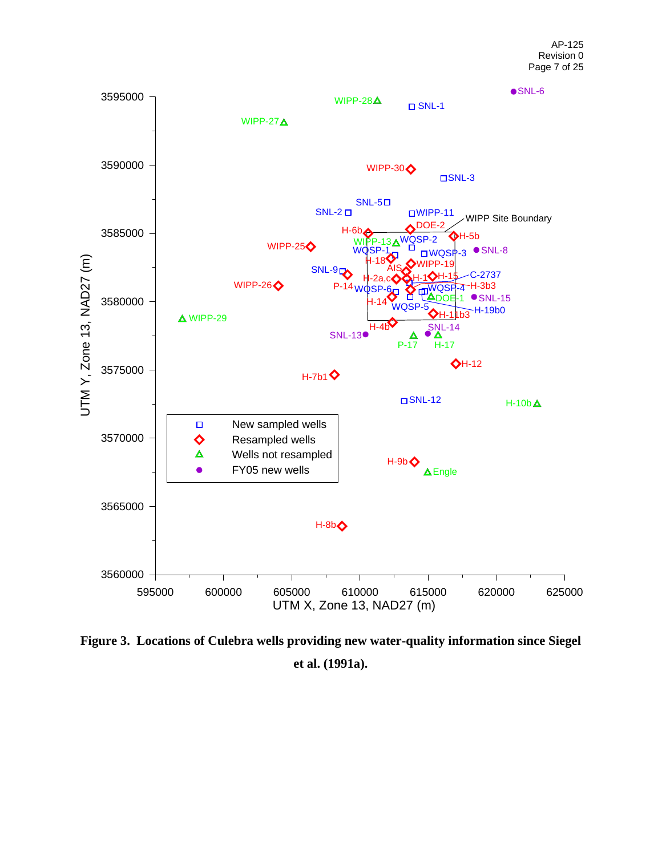

**Figure 3. Locations of Culebra wells providing new water-quality information since Siegel et al. (1991a).**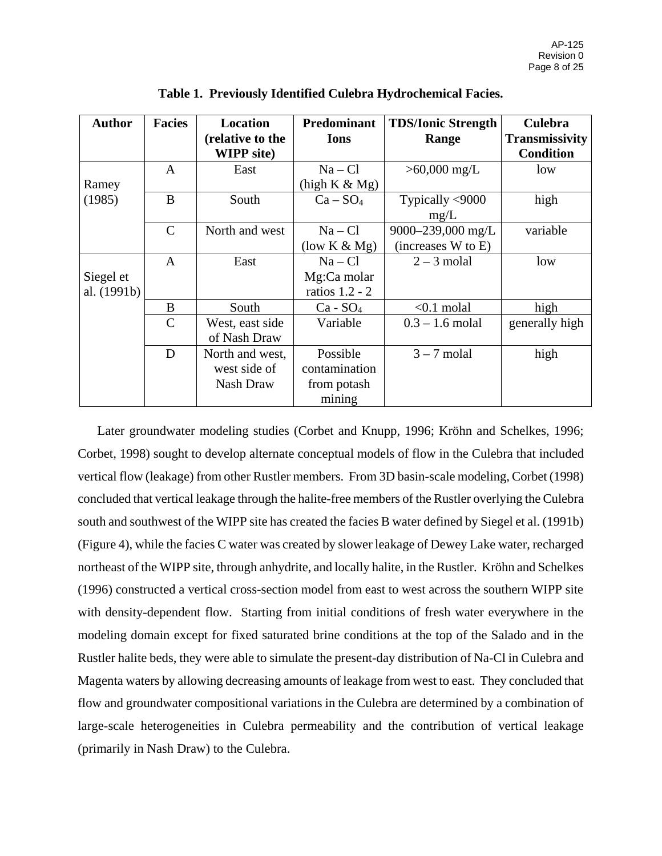| <b>Author</b>            | <b>Facies</b> | Location<br>(relative to the<br><b>WIPP</b> site) | <b>Predominant</b><br><b>Ions</b>                  | <b>TDS/Ionic Strength</b><br>Range      | <b>Culebra</b><br><b>Transmissivity</b><br><b>Condition</b> |
|--------------------------|---------------|---------------------------------------------------|----------------------------------------------------|-----------------------------------------|-------------------------------------------------------------|
| Ramey                    | A             | East                                              | $Na - Cl$<br>(high K & Mg)                         | $>60,000$ mg/L                          | low                                                         |
| (1985)                   | B             | South                                             | $Ca - SO4$                                         | Typically <9000<br>mg/L                 | high                                                        |
|                          | $\mathcal{C}$ | North and west                                    | $Na - Cl$<br>(low $K \& Mg$ )                      | 9000-239,000 mg/L<br>(increases W to E) | variable                                                    |
| Siegel et<br>al. (1991b) | $\mathbf{A}$  | East                                              | $Na - Cl$<br>Mg:Ca molar<br>ratios 1.2 - 2         | $2 - 3$ molal                           | low                                                         |
|                          | B             | South                                             | $Ca - SO4$                                         | $< 0.1$ molal                           | high                                                        |
|                          | $\mathcal{C}$ | West, east side<br>of Nash Draw                   | Variable                                           | $0.3 - 1.6$ molal                       | generally high                                              |
|                          | D             | North and west,<br>west side of<br>Nash Draw      | Possible<br>contamination<br>from potash<br>mining | $3 - 7$ molal                           | high                                                        |

**Table 1. Previously Identified Culebra Hydrochemical Facies.** 

Later groundwater modeling studies (Corbet and Knupp, 1996; Kröhn and Schelkes, 1996; Corbet, 1998) sought to develop alternate conceptual models of flow in the Culebra that included vertical flow (leakage) from other Rustler members. From 3D basin-scale modeling, Corbet (1998) concluded that vertical leakage through the halite-free members of the Rustler overlying the Culebra south and southwest of the WIPP site has created the facies B water defined by Siegel et al. (1991b) (Figure 4), while the facies C water was created by slower leakage of Dewey Lake water, recharged northeast of the WIPP site, through anhydrite, and locally halite, in the Rustler. Kröhn and Schelkes (1996) constructed a vertical cross-section model from east to west across the southern WIPP site with density-dependent flow. Starting from initial conditions of fresh water everywhere in the modeling domain except for fixed saturated brine conditions at the top of the Salado and in the Rustler halite beds, they were able to simulate the present-day distribution of Na-Cl in Culebra and Magenta waters by allowing decreasing amounts of leakage from west to east. They concluded that flow and groundwater compositional variations in the Culebra are determined by a combination of large-scale heterogeneities in Culebra permeability and the contribution of vertical leakage (primarily in Nash Draw) to the Culebra.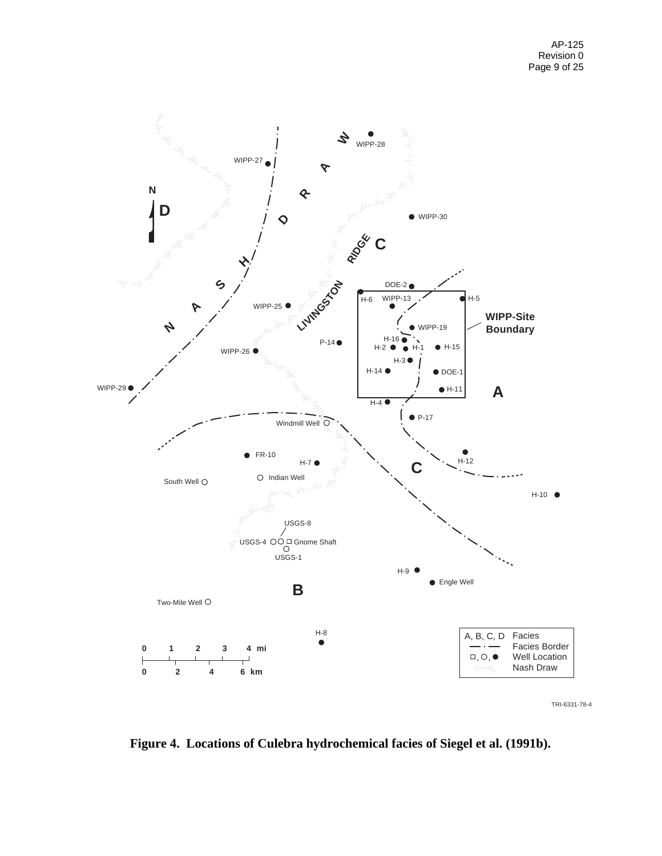

TRI-6331-78-4

**Figure 4. Locations of Culebra hydrochemical facies of Siegel et al. (1991b).**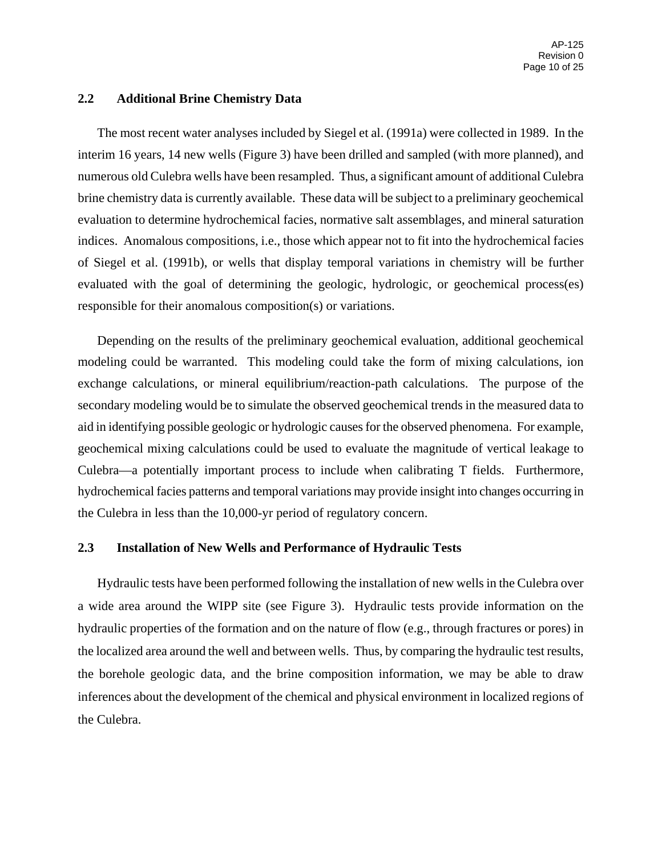### **2.2 Additional Brine Chemistry Data**

The most recent water analyses included by Siegel et al. (1991a) were collected in 1989. In the interim 16 years, 14 new wells (Figure 3) have been drilled and sampled (with more planned), and numerous old Culebra wells have been resampled. Thus, a significant amount of additional Culebra brine chemistry data is currently available. These data will be subject to a preliminary geochemical evaluation to determine hydrochemical facies, normative salt assemblages, and mineral saturation indices. Anomalous compositions, i.e., those which appear not to fit into the hydrochemical facies of Siegel et al. (1991b), or wells that display temporal variations in chemistry will be further evaluated with the goal of determining the geologic, hydrologic, or geochemical process(es) responsible for their anomalous composition(s) or variations.

Depending on the results of the preliminary geochemical evaluation, additional geochemical modeling could be warranted. This modeling could take the form of mixing calculations, ion exchange calculations, or mineral equilibrium/reaction-path calculations. The purpose of the secondary modeling would be to simulate the observed geochemical trends in the measured data to aid in identifying possible geologic or hydrologic causes for the observed phenomena. For example, geochemical mixing calculations could be used to evaluate the magnitude of vertical leakage to Culebra—a potentially important process to include when calibrating T fields. Furthermore, hydrochemical facies patterns and temporal variations may provide insight into changes occurring in the Culebra in less than the 10,000-yr period of regulatory concern.

### **2.3 Installation of New Wells and Performance of Hydraulic Tests**

Hydraulic tests have been performed following the installation of new wells in the Culebra over a wide area around the WIPP site (see Figure 3). Hydraulic tests provide information on the hydraulic properties of the formation and on the nature of flow (e.g., through fractures or pores) in the localized area around the well and between wells. Thus, by comparing the hydraulic test results, the borehole geologic data, and the brine composition information, we may be able to draw inferences about the development of the chemical and physical environment in localized regions of the Culebra.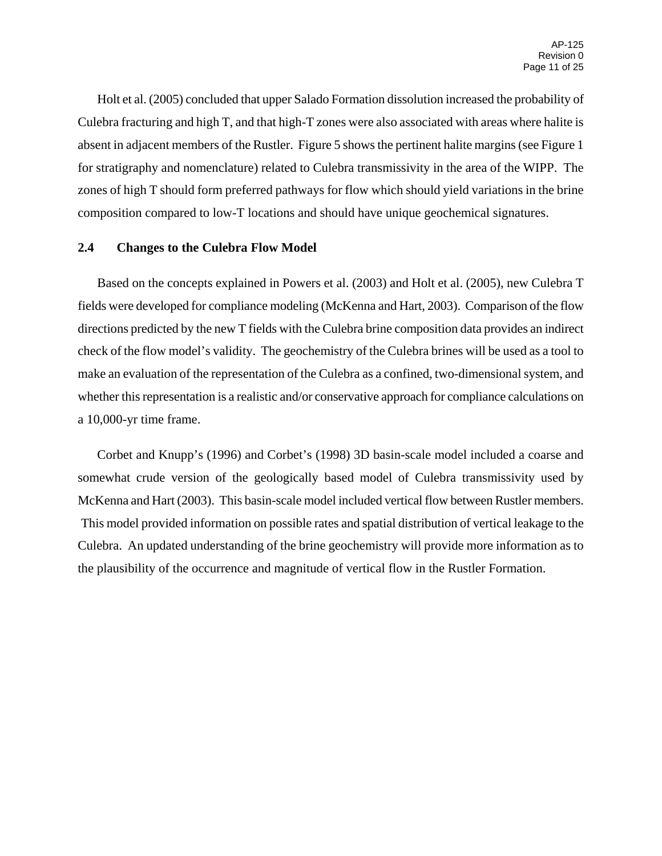Holt et al. (2005) concluded that upper Salado Formation dissolution increased the probability of Culebra fracturing and high T, and that high-T zones were also associated with areas where halite is absent in adjacent members of the Rustler. Figure 5 shows the pertinent halite margins (see Figure 1 for stratigraphy and nomenclature) related to Culebra transmissivity in the area of the WIPP. The zones of high T should form preferred pathways for flow which should yield variations in the brine composition compared to low-T locations and should have unique geochemical signatures.

### **2.4 Changes to the Culebra Flow Model**

Based on the concepts explained in Powers et al. (2003) and Holt et al. (2005), new Culebra T fields were developed for compliance modeling (McKenna and Hart, 2003). Comparison of the flow directions predicted by the new T fields with the Culebra brine composition data provides an indirect check of the flow model's validity. The geochemistry of the Culebra brines will be used as a tool to make an evaluation of the representation of the Culebra as a confined, two-dimensional system, and whether this representation is a realistic and/or conservative approach for compliance calculations on a 10,000-yr time frame.

Corbet and Knupp's (1996) and Corbet's (1998) 3D basin-scale model included a coarse and somewhat crude version of the geologically based model of Culebra transmissivity used by McKenna and Hart (2003). This basin-scale model included vertical flow between Rustler members. This model provided information on possible rates and spatial distribution of vertical leakage to the Culebra. An updated understanding of the brine geochemistry will provide more information as to the plausibility of the occurrence and magnitude of vertical flow in the Rustler Formation.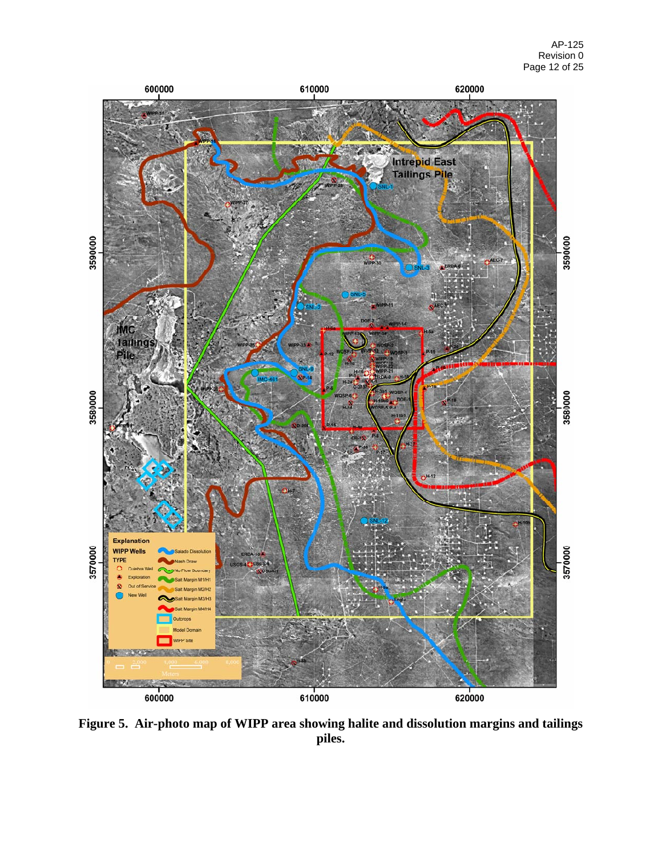

**Figure 5. Air-photo map of WIPP area showing halite and dissolution margins and tailings piles.**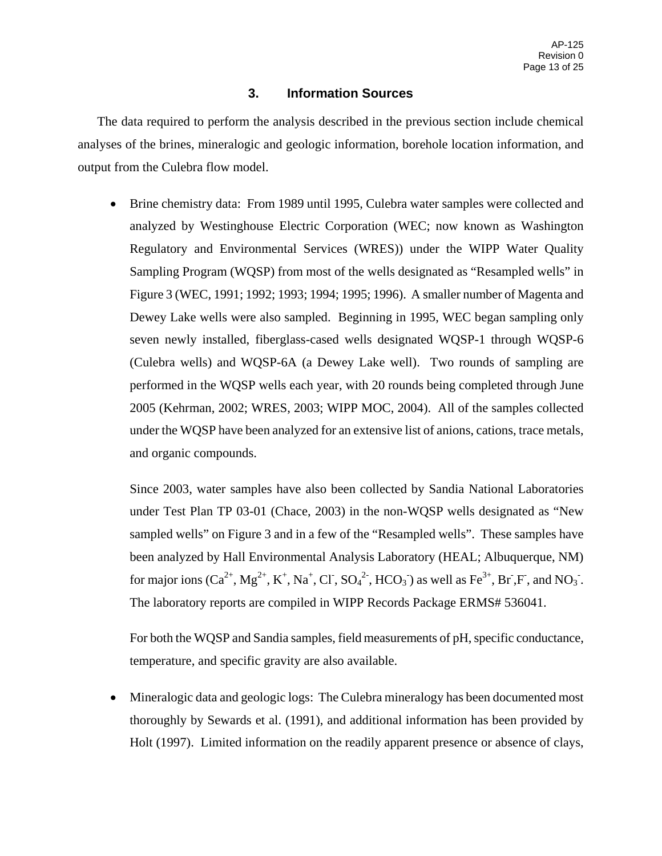# **3. Information Sources**

The data required to perform the analysis described in the previous section include chemical analyses of the brines, mineralogic and geologic information, borehole location information, and output from the Culebra flow model.

• Brine chemistry data: From 1989 until 1995, Culebra water samples were collected and analyzed by Westinghouse Electric Corporation (WEC; now known as Washington Regulatory and Environmental Services (WRES)) under the WIPP Water Quality Sampling Program (WQSP) from most of the wells designated as "Resampled wells" in Figure 3 (WEC, 1991; 1992; 1993; 1994; 1995; 1996). A smaller number of Magenta and Dewey Lake wells were also sampled. Beginning in 1995, WEC began sampling only seven newly installed, fiberglass-cased wells designated WQSP-1 through WQSP-6 (Culebra wells) and WQSP-6A (a Dewey Lake well). Two rounds of sampling are performed in the WQSP wells each year, with 20 rounds being completed through June 2005 (Kehrman, 2002; WRES, 2003; WIPP MOC, 2004). All of the samples collected under the WQSP have been analyzed for an extensive list of anions, cations, trace metals, and organic compounds.

Since 2003, water samples have also been collected by Sandia National Laboratories under Test Plan TP 03-01 (Chace, 2003) in the non-WQSP wells designated as "New sampled wells" on Figure 3 and in a few of the "Resampled wells". These samples have been analyzed by Hall Environmental Analysis Laboratory (HEAL; Albuquerque, NM) for major ions  $(Ca^{2+}, Mg^{2+}, K^+, Na^+, Cl^-, SO_4^{2-}, HCO_3^-)$  as well as  $Fe^{3+}, Br, F$ , and  $NO_3^-$ . The laboratory reports are compiled in WIPP Records Package ERMS# 536041.

For both the WQSP and Sandia samples, field measurements of pH, specific conductance, temperature, and specific gravity are also available.

• Mineralogic data and geologic logs: The Culebra mineralogy has been documented most thoroughly by Sewards et al. (1991), and additional information has been provided by Holt (1997). Limited information on the readily apparent presence or absence of clays,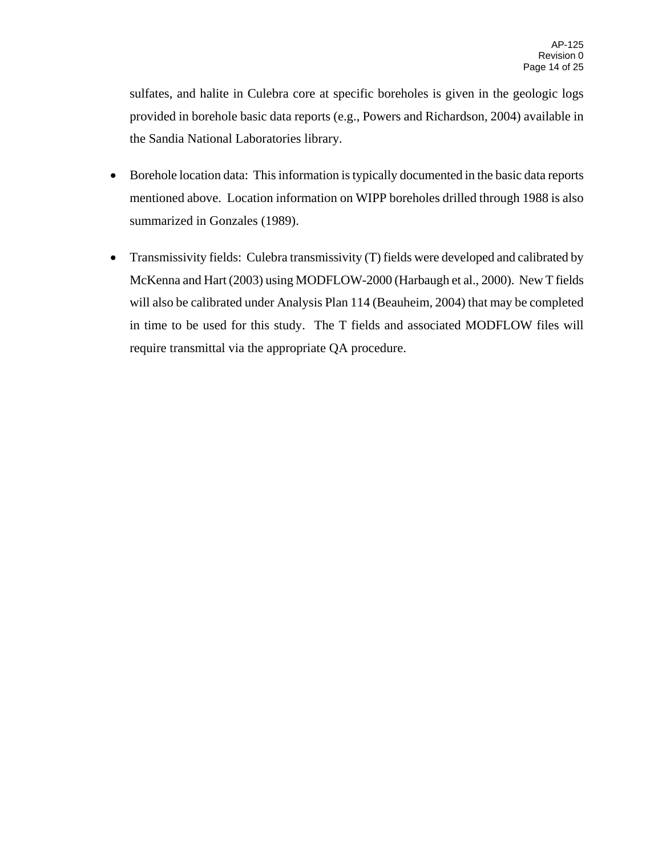sulfates, and halite in Culebra core at specific boreholes is given in the geologic logs provided in borehole basic data reports (e.g., Powers and Richardson, 2004) available in the Sandia National Laboratories library.

- Borehole location data: This information is typically documented in the basic data reports mentioned above. Location information on WIPP boreholes drilled through 1988 is also summarized in Gonzales (1989).
- Transmissivity fields: Culebra transmissivity (T) fields were developed and calibrated by McKenna and Hart (2003) using MODFLOW-2000 (Harbaugh et al., 2000). New T fields will also be calibrated under Analysis Plan 114 (Beauheim, 2004) that may be completed in time to be used for this study. The T fields and associated MODFLOW files will require transmittal via the appropriate QA procedure.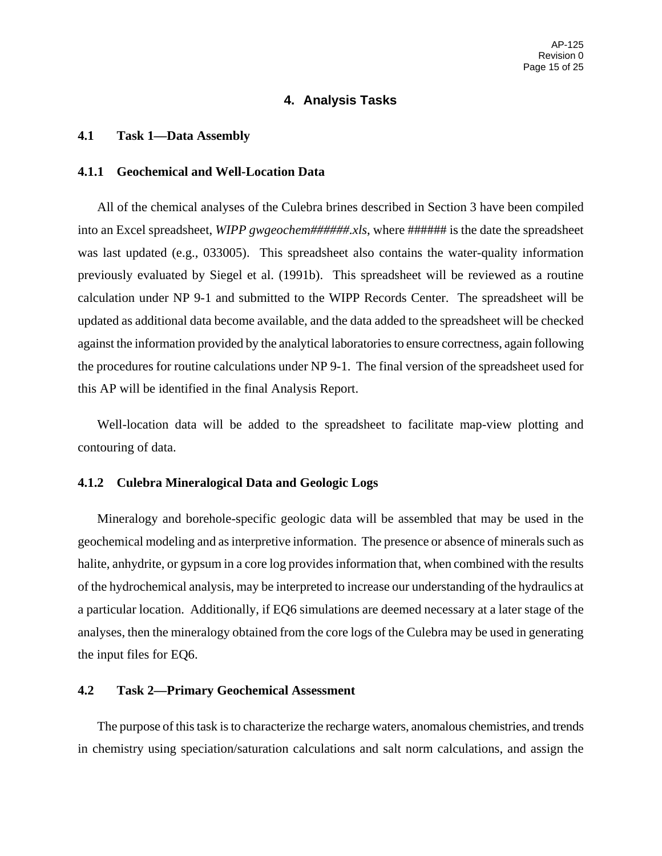### **4. Analysis Tasks**

#### **4.1 Task 1—Data Assembly**

### **4.1.1 Geochemical and Well-Location Data**

All of the chemical analyses of the Culebra brines described in Section 3 have been compiled into an Excel spreadsheet, *WIPP gwgeochem######.xls*, where ###### is the date the spreadsheet was last updated (e.g., 033005). This spreadsheet also contains the water-quality information previously evaluated by Siegel et al. (1991b). This spreadsheet will be reviewed as a routine calculation under NP 9-1 and submitted to the WIPP Records Center. The spreadsheet will be updated as additional data become available, and the data added to the spreadsheet will be checked against the information provided by the analytical laboratories to ensure correctness, again following the procedures for routine calculations under NP 9-1. The final version of the spreadsheet used for this AP will be identified in the final Analysis Report.

Well-location data will be added to the spreadsheet to facilitate map-view plotting and contouring of data.

### **4.1.2 Culebra Mineralogical Data and Geologic Logs**

Mineralogy and borehole-specific geologic data will be assembled that may be used in the geochemical modeling and as interpretive information. The presence or absence of minerals such as halite, anhydrite, or gypsum in a core log provides information that, when combined with the results of the hydrochemical analysis, may be interpreted to increase our understanding of the hydraulics at a particular location. Additionally, if EQ6 simulations are deemed necessary at a later stage of the analyses, then the mineralogy obtained from the core logs of the Culebra may be used in generating the input files for EQ6.

# **4.2 Task 2—Primary Geochemical Assessment**

The purpose of this task is to characterize the recharge waters, anomalous chemistries, and trends in chemistry using speciation/saturation calculations and salt norm calculations, and assign the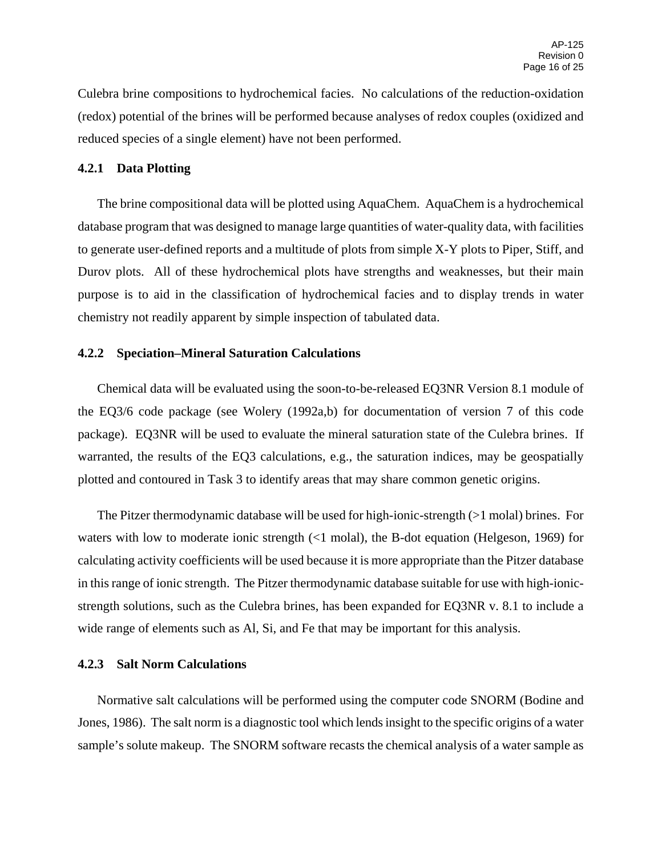Culebra brine compositions to hydrochemical facies. No calculations of the reduction-oxidation (redox) potential of the brines will be performed because analyses of redox couples (oxidized and reduced species of a single element) have not been performed.

#### **4.2.1 Data Plotting**

The brine compositional data will be plotted using AquaChem. AquaChem is a hydrochemical database program that was designed to manage large quantities of water-quality data, with facilities to generate user-defined reports and a multitude of plots from simple X-Y plots to Piper, Stiff, and Durov plots. All of these hydrochemical plots have strengths and weaknesses, but their main purpose is to aid in the classification of hydrochemical facies and to display trends in water chemistry not readily apparent by simple inspection of tabulated data.

### **4.2.2 Speciation–Mineral Saturation Calculations**

Chemical data will be evaluated using the soon-to-be-released EQ3NR Version 8.1 module of the EQ3/6 code package (see Wolery (1992a,b) for documentation of version 7 of this code package). EQ3NR will be used to evaluate the mineral saturation state of the Culebra brines. If warranted, the results of the EQ3 calculations, e.g., the saturation indices, may be geospatially plotted and contoured in Task 3 to identify areas that may share common genetic origins.

The Pitzer thermodynamic database will be used for high-ionic-strength (>1 molal) brines. For waters with low to moderate ionic strength (<1 molal), the B-dot equation (Helgeson, 1969) for calculating activity coefficients will be used because it is more appropriate than the Pitzer database in this range of ionic strength. The Pitzer thermodynamic database suitable for use with high-ionicstrength solutions, such as the Culebra brines, has been expanded for EQ3NR v. 8.1 to include a wide range of elements such as Al, Si, and Fe that may be important for this analysis.

#### **4.2.3 Salt Norm Calculations**

Normative salt calculations will be performed using the computer code SNORM (Bodine and Jones, 1986). The salt norm is a diagnostic tool which lends insight to the specific origins of a water sample's solute makeup. The SNORM software recasts the chemical analysis of a water sample as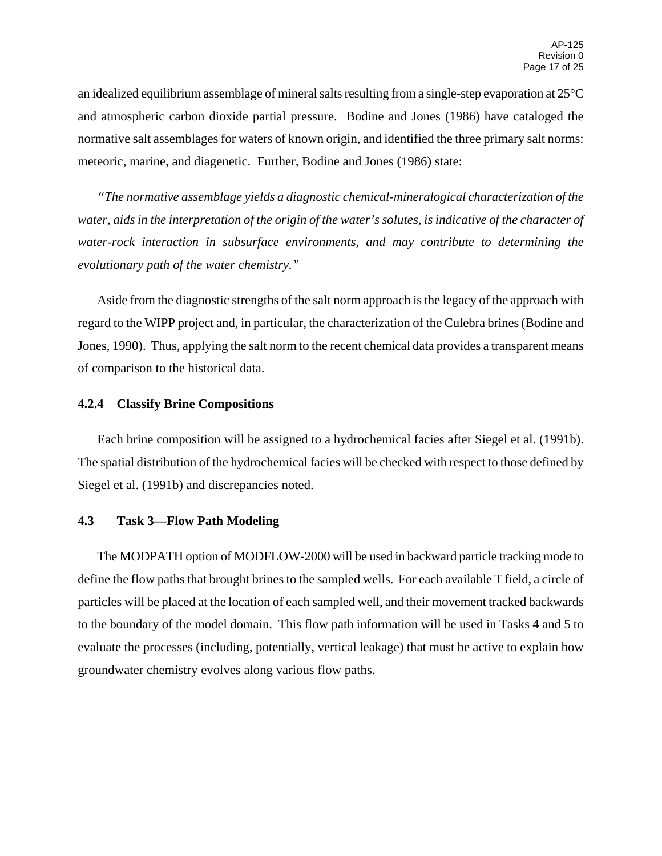an idealized equilibrium assemblage of mineral salts resulting from a single-step evaporation at 25°C and atmospheric carbon dioxide partial pressure. Bodine and Jones (1986) have cataloged the normative salt assemblages for waters of known origin, and identified the three primary salt norms: meteoric, marine, and diagenetic. Further, Bodine and Jones (1986) state:

*"The normative assemblage yields a diagnostic chemical-mineralogical characterization of the water, aids in the interpretation of the origin of the water's solutes, is indicative of the character of water-rock interaction in subsurface environments, and may contribute to determining the evolutionary path of the water chemistry."*

Aside from the diagnostic strengths of the salt norm approach is the legacy of the approach with regard to the WIPP project and, in particular, the characterization of the Culebra brines (Bodine and Jones, 1990). Thus, applying the salt norm to the recent chemical data provides a transparent means of comparison to the historical data.

### **4.2.4 Classify Brine Compositions**

Each brine composition will be assigned to a hydrochemical facies after Siegel et al. (1991b). The spatial distribution of the hydrochemical facies will be checked with respect to those defined by Siegel et al. (1991b) and discrepancies noted.

### **4.3 Task 3—Flow Path Modeling**

The MODPATH option of MODFLOW-2000 will be used in backward particle tracking mode to define the flow paths that brought brines to the sampled wells. For each available T field, a circle of particles will be placed at the location of each sampled well, and their movement tracked backwards to the boundary of the model domain. This flow path information will be used in Tasks 4 and 5 to evaluate the processes (including, potentially, vertical leakage) that must be active to explain how groundwater chemistry evolves along various flow paths.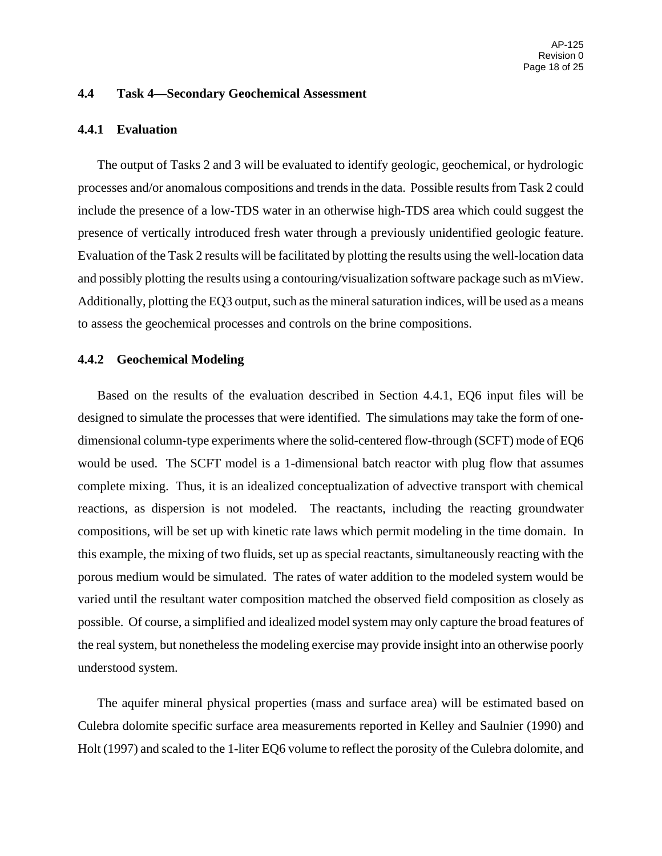#### **4.4 Task 4—Secondary Geochemical Assessment**

#### **4.4.1 Evaluation**

The output of Tasks 2 and 3 will be evaluated to identify geologic, geochemical, or hydrologic processes and/or anomalous compositions and trends in the data. Possible results from Task 2 could include the presence of a low-TDS water in an otherwise high-TDS area which could suggest the presence of vertically introduced fresh water through a previously unidentified geologic feature. Evaluation of the Task 2 results will be facilitated by plotting the results using the well-location data and possibly plotting the results using a contouring/visualization software package such as mView. Additionally, plotting the EQ3 output, such as the mineral saturation indices, will be used as a means to assess the geochemical processes and controls on the brine compositions.

#### **4.4.2 Geochemical Modeling**

Based on the results of the evaluation described in Section 4.4.1, EQ6 input files will be designed to simulate the processes that were identified. The simulations may take the form of onedimensional column-type experiments where the solid-centered flow-through (SCFT) mode of EQ6 would be used. The SCFT model is a 1-dimensional batch reactor with plug flow that assumes complete mixing. Thus, it is an idealized conceptualization of advective transport with chemical reactions, as dispersion is not modeled. The reactants, including the reacting groundwater compositions, will be set up with kinetic rate laws which permit modeling in the time domain. In this example, the mixing of two fluids, set up as special reactants, simultaneously reacting with the porous medium would be simulated. The rates of water addition to the modeled system would be varied until the resultant water composition matched the observed field composition as closely as possible. Of course, a simplified and idealized model system may only capture the broad features of the real system, but nonetheless the modeling exercise may provide insight into an otherwise poorly understood system.

The aquifer mineral physical properties (mass and surface area) will be estimated based on Culebra dolomite specific surface area measurements reported in Kelley and Saulnier (1990) and Holt (1997) and scaled to the 1-liter EQ6 volume to reflect the porosity of the Culebra dolomite, and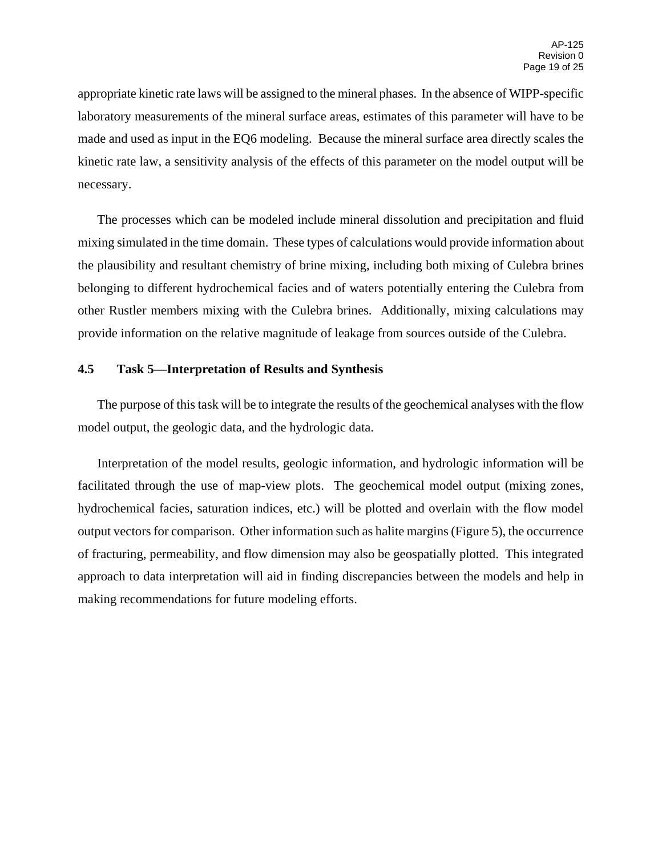appropriate kinetic rate laws will be assigned to the mineral phases. In the absence of WIPP-specific laboratory measurements of the mineral surface areas, estimates of this parameter will have to be made and used as input in the EQ6 modeling. Because the mineral surface area directly scales the kinetic rate law, a sensitivity analysis of the effects of this parameter on the model output will be necessary.

The processes which can be modeled include mineral dissolution and precipitation and fluid mixing simulated in the time domain. These types of calculations would provide information about the plausibility and resultant chemistry of brine mixing, including both mixing of Culebra brines belonging to different hydrochemical facies and of waters potentially entering the Culebra from other Rustler members mixing with the Culebra brines. Additionally, mixing calculations may provide information on the relative magnitude of leakage from sources outside of the Culebra.

### **4.5 Task 5—Interpretation of Results and Synthesis**

The purpose of this task will be to integrate the results of the geochemical analyses with the flow model output, the geologic data, and the hydrologic data.

Interpretation of the model results, geologic information, and hydrologic information will be facilitated through the use of map-view plots. The geochemical model output (mixing zones, hydrochemical facies, saturation indices, etc.) will be plotted and overlain with the flow model output vectors for comparison. Other information such as halite margins (Figure 5), the occurrence of fracturing, permeability, and flow dimension may also be geospatially plotted. This integrated approach to data interpretation will aid in finding discrepancies between the models and help in making recommendations for future modeling efforts.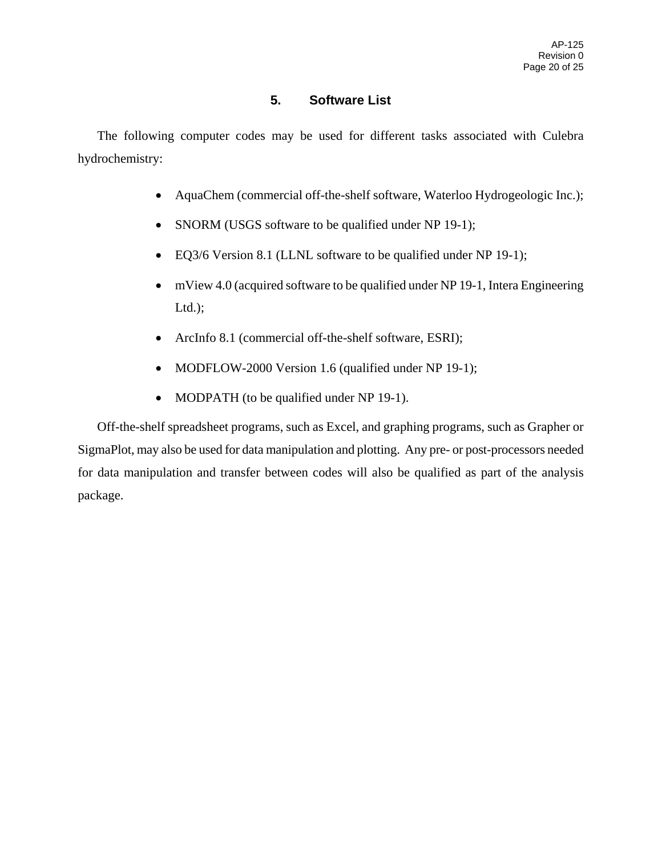# **5. Software List**

The following computer codes may be used for different tasks associated with Culebra hydrochemistry:

- AquaChem (commercial off-the-shelf software, Waterloo Hydrogeologic Inc.);
- SNORM (USGS software to be qualified under NP 19-1);
- EQ3/6 Version 8.1 (LLNL software to be qualified under NP 19-1);
- mView 4.0 (acquired software to be qualified under NP 19-1, Intera Engineering  $Ltd.$ );
- ArcInfo 8.1 (commercial off-the-shelf software, ESRI);
- MODFLOW-2000 Version 1.6 (qualified under NP 19-1);
- MODPATH (to be qualified under NP 19-1).

Off-the-shelf spreadsheet programs, such as Excel, and graphing programs, such as Grapher or SigmaPlot, may also be used for data manipulation and plotting. Any pre- or post-processors needed for data manipulation and transfer between codes will also be qualified as part of the analysis package.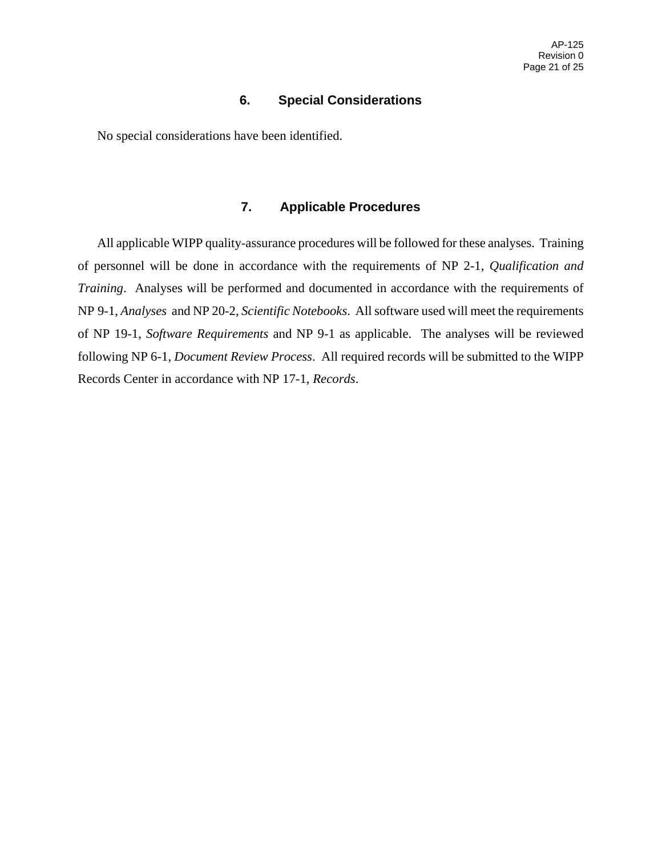## **6. Special Considerations**

No special considerations have been identified.

### **7. Applicable Procedures**

All applicable WIPP quality-assurance procedures will be followed for these analyses. Training of personnel will be done in accordance with the requirements of NP 2-1, *Qualification and Training*. Analyses will be performed and documented in accordance with the requirements of NP 9-1, *Analyses* and NP 20-2, *Scientific Notebooks*. All software used will meet the requirements of NP 19-1, *Software Requirements* and NP 9-1 as applicable. The analyses will be reviewed following NP 6-1, *Document Review Process*. All required records will be submitted to the WIPP Records Center in accordance with NP 17-1, *Records*.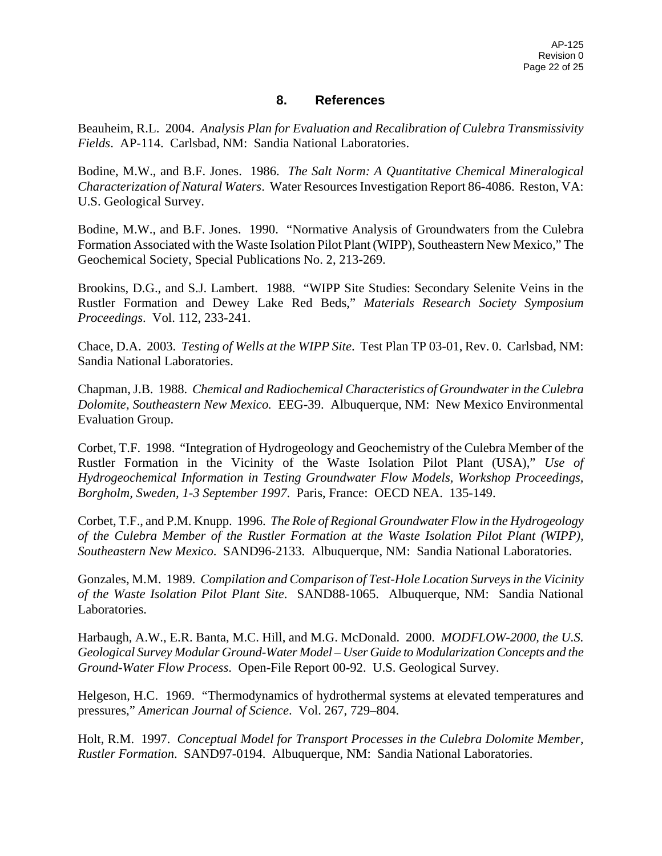# **8. References**

Beauheim, R.L. 2004. *Analysis Plan for Evaluation and Recalibration of Culebra Transmissivity Fields*. AP-114. Carlsbad, NM: Sandia National Laboratories.

Bodine, M.W., and B.F. Jones. 1986. *The Salt Norm: A Quantitative Chemical Mineralogical Characterization of Natural Waters*. Water Resources Investigation Report 86-4086. Reston, VA: U.S. Geological Survey.

Bodine, M.W., and B.F. Jones. 1990. "Normative Analysis of Groundwaters from the Culebra Formation Associated with the Waste Isolation Pilot Plant (WIPP), Southeastern New Mexico," The Geochemical Society, Special Publications No. 2, 213-269.

Brookins, D.G., and S.J. Lambert. 1988. "WIPP Site Studies: Secondary Selenite Veins in the Rustler Formation and Dewey Lake Red Beds," *Materials Research Society Symposium Proceedings*. Vol. 112, 233-241.

Chace, D.A. 2003. *Testing of Wells at the WIPP Site*. Test Plan TP 03-01, Rev. 0. Carlsbad, NM: Sandia National Laboratories.

Chapman, J.B. 1988. *Chemical and Radiochemical Characteristics of Groundwater in the Culebra Dolomite, Southeastern New Mexico.* EEG-39. Albuquerque, NM: New Mexico Environmental Evaluation Group.

Corbet, T.F. 1998. "Integration of Hydrogeology and Geochemistry of the Culebra Member of the Rustler Formation in the Vicinity of the Waste Isolation Pilot Plant (USA)," *Use of Hydrogeochemical Information in Testing Groundwater Flow Models, Workshop Proceedings, Borgholm, Sweden, 1-3 September 1997*. Paris, France: OECD NEA. 135-149.

Corbet, T.F., and P.M. Knupp. 1996. *The Role of Regional Groundwater Flow in the Hydrogeology of the Culebra Member of the Rustler Formation at the Waste Isolation Pilot Plant (WIPP), Southeastern New Mexico*. SAND96-2133. Albuquerque, NM: Sandia National Laboratories.

Gonzales, M.M. 1989. *Compilation and Comparison of Test-Hole Location Surveys in the Vicinity of the Waste Isolation Pilot Plant Site*. SAND88-1065. Albuquerque, NM: Sandia National Laboratories.

Harbaugh, A.W., E.R. Banta, M.C. Hill, and M.G. McDonald. 2000. *MODFLOW-2000, the U.S. Geological Survey Modular Ground-Water Model – User Guide to Modularization Concepts and the Ground-Water Flow Process*. Open-File Report 00-92. U.S. Geological Survey.

Helgeson, H.C. 1969. "Thermodynamics of hydrothermal systems at elevated temperatures and pressures," *American Journal of Science*. Vol. 267, 729–804.

Holt, R.M. 1997. *Conceptual Model for Transport Processes in the Culebra Dolomite Member, Rustler Formation*. SAND97-0194. Albuquerque, NM: Sandia National Laboratories.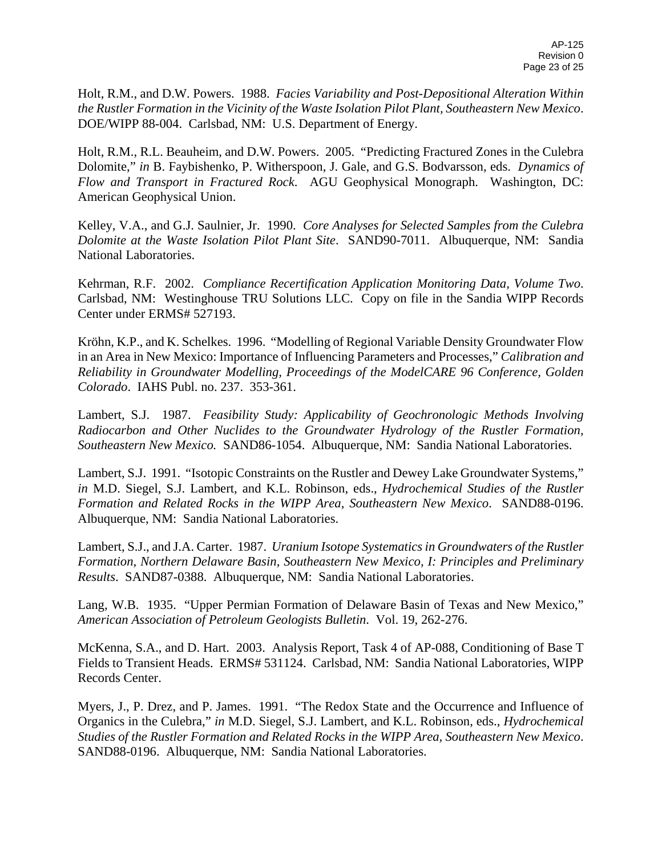Holt, R.M., and D.W. Powers. 1988. *Facies Variability and Post-Depositional Alteration Within the Rustler Formation in the Vicinity of the Waste Isolation Pilot Plant, Southeastern New Mexico*. DOE/WIPP 88-004. Carlsbad, NM: U.S. Department of Energy.

Holt, R.M., R.L. Beauheim, and D.W. Powers. 2005. "Predicting Fractured Zones in the Culebra Dolomite," *in* B. Faybishenko, P. Witherspoon, J. Gale, and G.S. Bodvarsson, eds. *Dynamics of Flow and Transport in Fractured Rock*. AGU Geophysical Monograph. Washington, DC: American Geophysical Union.

Kelley, V.A., and G.J. Saulnier, Jr. 1990. *Core Analyses for Selected Samples from the Culebra Dolomite at the Waste Isolation Pilot Plant Site*. SAND90-7011. Albuquerque, NM: Sandia National Laboratories.

Kehrman, R.F. 2002. *Compliance Recertification Application Monitoring Data, Volume Two*. Carlsbad, NM: Westinghouse TRU Solutions LLC. Copy on file in the Sandia WIPP Records Center under ERMS# 527193.

Kröhn, K.P., and K. Schelkes. 1996. "Modelling of Regional Variable Density Groundwater Flow in an Area in New Mexico: Importance of Influencing Parameters and Processes," *Calibration and Reliability in Groundwater Modelling, Proceedings of the ModelCARE 96 Conference, Golden Colorado*. IAHS Publ. no. 237. 353-361.

Lambert, S.J. 1987. *Feasibility Study: Applicability of Geochronologic Methods Involving Radiocarbon and Other Nuclides to the Groundwater Hydrology of the Rustler Formation, Southeastern New Mexico.* SAND86-1054. Albuquerque, NM: Sandia National Laboratories.

Lambert, S.J. 1991. "Isotopic Constraints on the Rustler and Dewey Lake Groundwater Systems," *in* M.D. Siegel, S.J. Lambert, and K.L. Robinson, eds., *Hydrochemical Studies of the Rustler Formation and Related Rocks in the WIPP Area, Southeastern New Mexico*. SAND88-0196. Albuquerque, NM: Sandia National Laboratories.

Lambert, S.J., and J.A. Carter. 1987. *Uranium Isotope Systematics in Groundwaters of the Rustler Formation, Northern Delaware Basin, Southeastern New Mexico, I: Principles and Preliminary Results*. SAND87-0388. Albuquerque, NM: Sandia National Laboratories.

Lang, W.B. 1935. "Upper Permian Formation of Delaware Basin of Texas and New Mexico," *American Association of Petroleum Geologists Bulletin*. Vol. 19, 262-276.

McKenna, S.A., and D. Hart. 2003. Analysis Report, Task 4 of AP-088, Conditioning of Base T Fields to Transient Heads. ERMS# 531124. Carlsbad, NM: Sandia National Laboratories, WIPP Records Center.

Myers, J., P. Drez, and P. James. 1991. "The Redox State and the Occurrence and Influence of Organics in the Culebra," *in* M.D. Siegel, S.J. Lambert, and K.L. Robinson, eds., *Hydrochemical Studies of the Rustler Formation and Related Rocks in the WIPP Area, Southeastern New Mexico*. SAND88-0196. Albuquerque, NM: Sandia National Laboratories.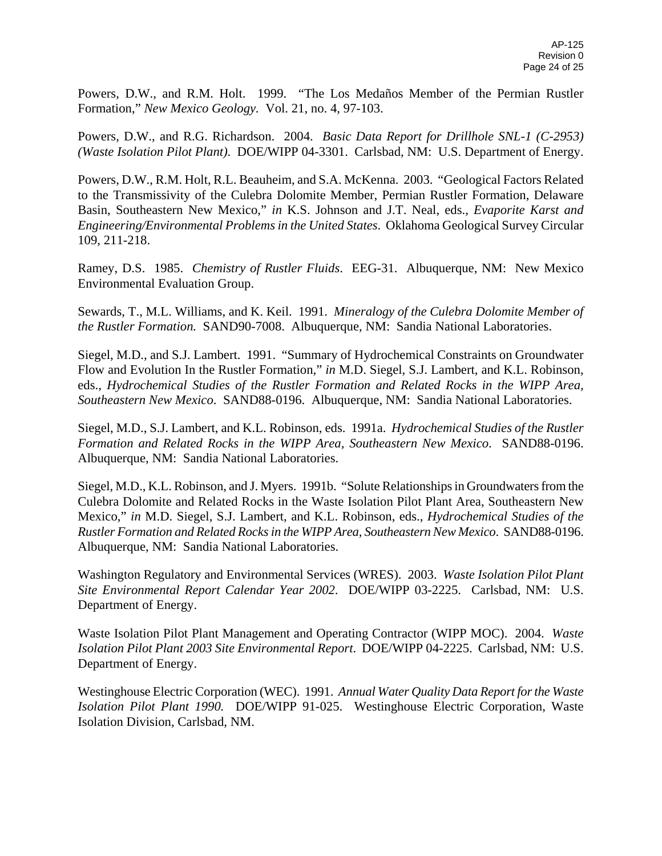Powers, D.W., and R.M. Holt. 1999. "The Los Medaños Member of the Permian Rustler Formation," *New Mexico Geology.* Vol. 21, no. 4, 97-103.

Powers, D.W., and R.G. Richardson. 2004. *Basic Data Report for Drillhole SNL-1 (C-2953) (Waste Isolation Pilot Plant)*. DOE/WIPP 04-3301. Carlsbad, NM: U.S. Department of Energy.

Powers, D.W., R.M. Holt, R.L. Beauheim, and S.A. McKenna. 2003. "Geological Factors Related to the Transmissivity of the Culebra Dolomite Member, Permian Rustler Formation, Delaware Basin, Southeastern New Mexico," *in* K.S. Johnson and J.T. Neal, eds., *Evaporite Karst and Engineering/Environmental Problems in the United States*. Oklahoma Geological Survey Circular 109, 211-218.

Ramey, D.S. 1985. *Chemistry of Rustler Fluids*. EEG-31. Albuquerque, NM: New Mexico Environmental Evaluation Group.

Sewards, T., M.L. Williams, and K. Keil. 1991. *Mineralogy of the Culebra Dolomite Member of the Rustler Formation.* SAND90-7008. Albuquerque, NM: Sandia National Laboratories.

Siegel, M.D., and S.J. Lambert. 1991. "Summary of Hydrochemical Constraints on Groundwater Flow and Evolution In the Rustler Formation," *in* M.D. Siegel, S.J. Lambert, and K.L. Robinson, eds., *Hydrochemical Studies of the Rustler Formation and Related Rocks in the WIPP Area, Southeastern New Mexico*. SAND88-0196. Albuquerque, NM: Sandia National Laboratories.

Siegel, M.D., S.J. Lambert, and K.L. Robinson, eds. 1991a. *Hydrochemical Studies of the Rustler Formation and Related Rocks in the WIPP Area, Southeastern New Mexico*. SAND88-0196. Albuquerque, NM: Sandia National Laboratories.

Siegel, M.D., K.L. Robinson, and J. Myers. 1991b. "Solute Relationships in Groundwaters from the Culebra Dolomite and Related Rocks in the Waste Isolation Pilot Plant Area, Southeastern New Mexico," *in* M.D. Siegel, S.J. Lambert, and K.L. Robinson, eds., *Hydrochemical Studies of the Rustler Formation and Related Rocks in the WIPP Area, Southeastern New Mexico*. SAND88-0196. Albuquerque, NM: Sandia National Laboratories.

Washington Regulatory and Environmental Services (WRES). 2003. *Waste Isolation Pilot Plant Site Environmental Report Calendar Year 2002*. DOE/WIPP 03-2225. Carlsbad, NM: U.S. Department of Energy.

Waste Isolation Pilot Plant Management and Operating Contractor (WIPP MOC). 2004. *Waste Isolation Pilot Plant 2003 Site Environmental Report*. DOE/WIPP 04-2225. Carlsbad, NM: U.S. Department of Energy.

Westinghouse Electric Corporation (WEC). 1991. *Annual Water Quality Data Report for the Waste Isolation Pilot Plant 1990.* DOE/WIPP 91-025. Westinghouse Electric Corporation, Waste Isolation Division, Carlsbad, NM.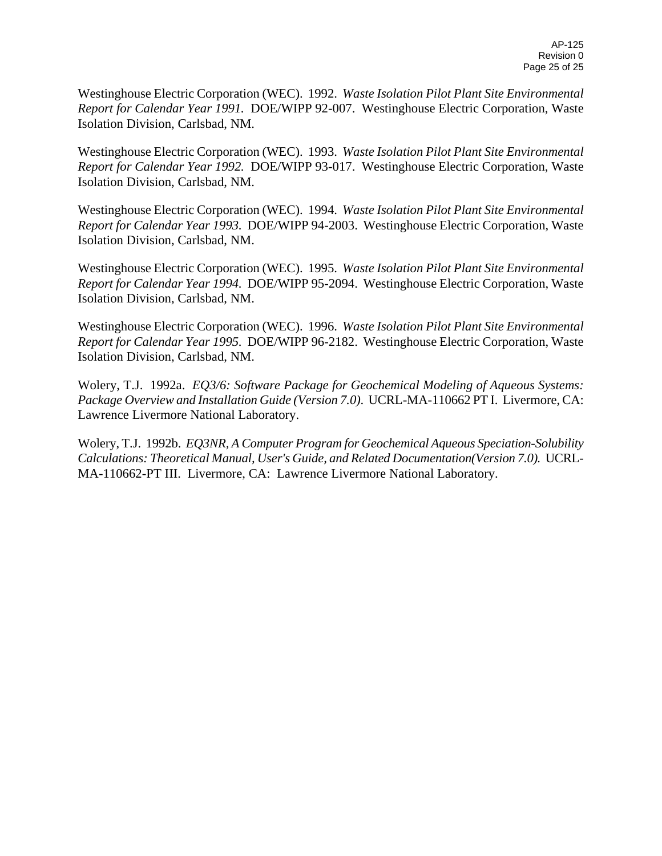Westinghouse Electric Corporation (WEC). 1992. *Waste Isolation Pilot Plant Site Environmental Report for Calendar Year 1991.* DOE/WIPP 92-007. Westinghouse Electric Corporation, Waste Isolation Division, Carlsbad, NM.

Westinghouse Electric Corporation (WEC). 1993. *Waste Isolation Pilot Plant Site Environmental Report for Calendar Year 1992.* DOE/WIPP 93-017. Westinghouse Electric Corporation, Waste Isolation Division, Carlsbad, NM.

Westinghouse Electric Corporation (WEC). 1994. *Waste Isolation Pilot Plant Site Environmental Report for Calendar Year 1993.* DOE/WIPP 94-2003. Westinghouse Electric Corporation, Waste Isolation Division, Carlsbad, NM.

Westinghouse Electric Corporation (WEC). 1995. *Waste Isolation Pilot Plant Site Environmental Report for Calendar Year 1994.* DOE/WIPP 95-2094. Westinghouse Electric Corporation, Waste Isolation Division, Carlsbad, NM.

Westinghouse Electric Corporation (WEC). 1996. *Waste Isolation Pilot Plant Site Environmental Report for Calendar Year 1995.* DOE/WIPP 96-2182. Westinghouse Electric Corporation, Waste Isolation Division, Carlsbad, NM.

Wolery, T.J. 1992a. *EQ3/6: Software Package for Geochemical Modeling of Aqueous Systems: Package Overview and Installation Guide (Version 7.0)*. UCRL-MA-110662 PT I. Livermore, CA: Lawrence Livermore National Laboratory.

Wolery, T.J. 1992b. *EQ3NR, A Computer Program for Geochemical Aqueous Speciation-Solubility Calculations: Theoretical Manual, User's Guide, and Related Documentation(Version 7.0).* UCRL-MA-110662-PT III. Livermore, CA: Lawrence Livermore National Laboratory.